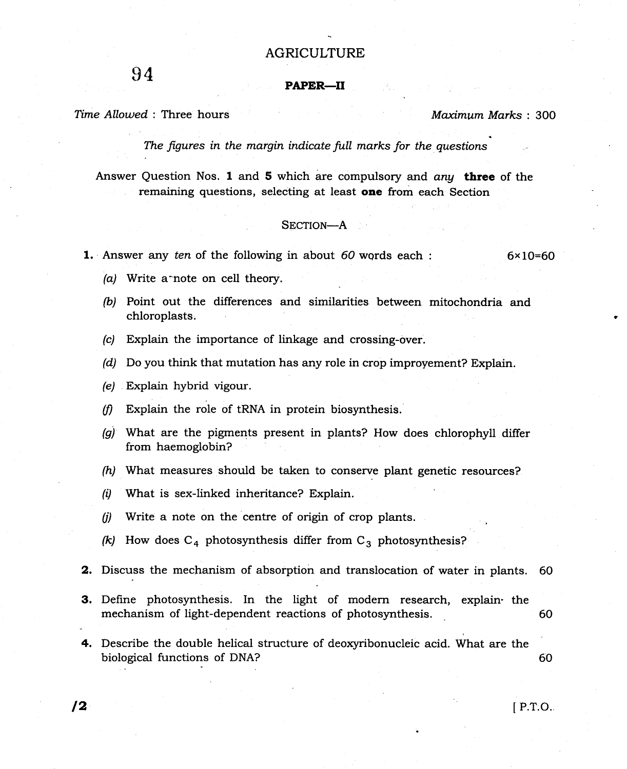## AGRICULTURE

 $94$  Paper—II

Time Allowed : Three hours Maximum Marks : 300

The figures in the margin indicate full marks for the questions

Answer Question Nos. 1 and 5 which are compulsory and  $any$  three of the remaining questions, selecting at least one from each Section

## SECTION-A

**1.** Answer any ten of the following in about 60 words each :  $6 \times 10 = 60$ 

- (a) Write a^note on cell theory.
- (b) Point out the differences and similarities between mitochondria and chloroplasts.
- (c) Explain the importance of linkage and crossing-over.
- (d) Do you think that mutation has any role in crop improyement? Explain.
- (e) Explain hybrid vigour.
- $(f)$  Explain the role of tRNA in protein biosynthesis.
- $\langle q \rangle$  What are the pigments present in plants? How does chlorophyll differ from haemoglobin?
- $(h)$  What measures should be taken to conserve plant genetic resources?
- $(i)$  What is sex-linked inheritance? Explain.
- (j) Write a note on the centre of origin of crop plants.
- (k) How does  $C_4$  photosynthesis differ from  $C_3$  photosynthesis?
- **2.** Discuss the mechanism of absorption and translocation of water in plants. 60
- 3. Define photosynthesis. In the light of modern research, explain' the mechanism of light-dependent reactions of photosynthesis. <sup>60</sup>
- 4. Describe the double helical structure of deoxyribonucleic acid. What are the biological functions of DNA? 60

 $\sqrt{2}$  P.T.O.